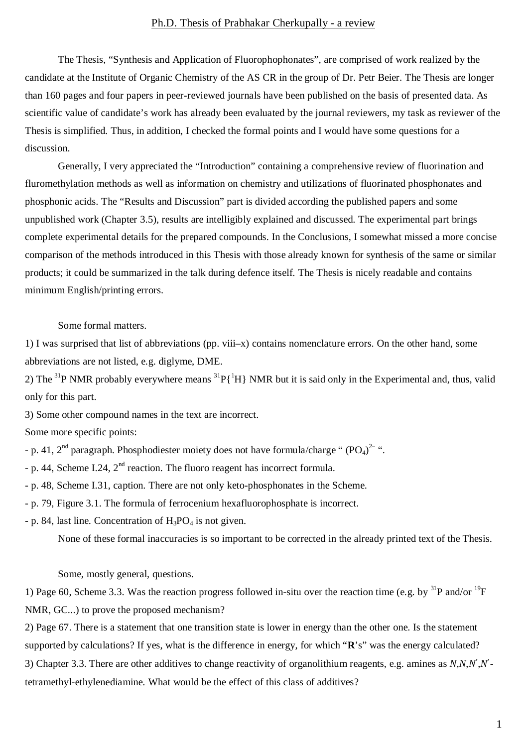## Ph.D. Thesis of Prabhakar Cherkupally - a review

The Thesis, "Synthesis and Application of Fluorophophonates", are comprised of work realized by the candidate at the Institute of Organic Chemistry of the AS CR in the group of Dr. Petr Beier. The Thesis are longer than 160 pages and four papers in peer-reviewed journals have been published on the basis of presented data. As scientific value of candidate's work has already been evaluated by the journal reviewers, my task as reviewer of the Thesis is simplified. Thus, in addition, I checked the formal points and I would have some questions for a discussion.

Generally, I very appreciated the "Introduction" containing a comprehensive review of fluorination and fluromethylation methods as well as information on chemistry and utilizations of fluorinated phosphonates and phosphonic acids. The "Results and Discussion" part is divided according the published papers and some unpublished work (Chapter 3.5), results are intelligibly explained and discussed. The experimental part brings complete experimental details for the prepared compounds. In the Conclusions, I somewhat missed a more concise comparison of the methods introduced in this Thesis with those already known for synthesis of the same or similar products; it could be summarized in the talk during defence itself. The Thesis is nicely readable and contains minimum English/printing errors.

## Some formal matters.

1) I was surprised that list of abbreviations (pp. viii–x) contains nomenclature errors. On the other hand, some abbreviations are not listed, e.g. diglyme, DME.

2) The <sup>31</sup>P NMR probably everywhere means <sup>31</sup>P{<sup>1</sup>H} NMR but it is said only in the Experimental and, thus, valid only for this part.

3) Some other compound names in the text are incorrect.

Some more specific points:

- p. 41, 2<sup>nd</sup> paragraph. Phosphodiester moiety does not have formula/charge "  $(PO<sub>4</sub>)<sup>2-</sup>$ ".
- p. 44, Scheme I.24,  $2<sup>nd</sup>$  reaction. The fluoro reagent has incorrect formula.
- p. 48, Scheme I.31, caption. There are not only keto-phosphonates in the Scheme.
- p. 79, Figure 3.1. The formula of ferrocenium hexafluorophosphate is incorrect.
- p. 84, last line. Concentration of  $H_3PO_4$  is not given.

None of these formal inaccuracies is so important to be corrected in the already printed text of the Thesis.

Some, mostly general, questions.

1) Page 60, Scheme 3.3. Was the reaction progress followed in-situ over the reaction time (e.g. by  $^{31}P$  and/or  $^{19}F$ NMR, GC...) to prove the proposed mechanism?

2) Page 67. There is a statement that one transition state is lower in energy than the other one. Is the statement supported by calculations? If yes, what is the difference in energy, for which "**R**'s" was the energy calculated? 3) Chapter 3.3. There are other additives to change reactivity of organolithium reagents, e.g. amines as *N*,*N*,*N¢*,*N¢* tetramethyl-ethylenediamine. What would be the effect of this class of additives?